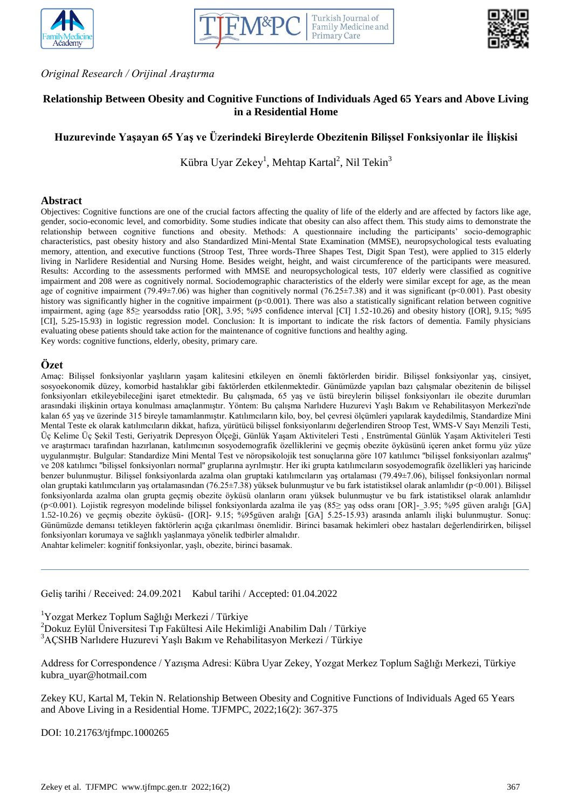



*Original Research / Orijinal Araştırma*

# **Relationship Between Obesity and Cognitive Functions of Individuals Aged 65 Years and Above Living in a Residential Home**

# **Huzurevinde Yaşayan 65 Yaş ve Üzerindeki Bireylerde Obezitenin Bilişsel Fonksiyonlar ile İlişkisi**

Kübra Uyar Zekey<sup>1</sup>, Mehtap Kartal<sup>2</sup>, Nil Tekin<sup>3</sup>

#### **Abstract**

Objectives: Cognitive functions are one of the crucial factors affecting the quality of life of the elderly and are affected by factors like age, gender, socio-economic level, and comorbidity. Some studies indicate that obesity can also affect them. This study aims to demonstrate the relationship between cognitive functions and obesity. Methods: A questionnaire including the participants' socio-demographic characteristics, past obesity history and also Standardized Mini-Mental State Examination (MMSE), neuropsychological tests evaluating memory, attention, and executive functions (Stroop Test, Three words-Three Shapes Test, Digit Span Test), were applied to 315 elderly living in Narlidere Residential and Nursing Home. Besides weight, height, and waist circumference of the participants were measured. Results: According to the assessments performed with MMSE and neuropsychological tests, 107 elderly were classified as cognitive impairment and 208 were as cognitively normal. Sociodemographic characteristics of the elderly were similar except for age, as the mean age of cognitive impairment (79.49±7.06) was higher than cognitively normal (76.25±7.38) and it was significant (p<0.001). Past obesity history was significantly higher in the cognitive impairment (p<0.001). There was also a statistically significant relation between cognitive impairment, aging (age 85≥ yearsoddss ratio [OR], 3.95; %95 confidence interval [CI] 1.52-10.26) and obesity history ([OR], 9.15; %95 [CI], 5.25-15.93) in logistic regression model. Conclusion: It is important to indicate the risk factors of dementia. Family physicians evaluating obese patients should take action for the maintenance of cognitive functions and healthy aging. Key words: cognitive functions, elderly, obesity, primary care.

## **Özet**

Amaç: Bilişsel fonksiyonlar yaşlıların yaşam kalitesini etkileyen en önemli faktörlerden biridir. Bilişsel fonksiyonlar yaş, cinsiyet, sosyoekonomik düzey, komorbid hastalıklar gibi faktörlerden etkilenmektedir. Günümüzde yapılan bazı çalışmalar obezitenin de bilişsel fonksiyonları etkileyebileceğini işaret etmektedir. Bu çalışmada, 65 yaş ve üstü bireylerin bilişsel fonksiyonları ile obezite durumları arasındaki ilişkinin ortaya konulması amaçlanmıştır. Yöntem: Bu çalışma Narlıdere Huzurevi Yaşlı Bakım ve Rehabilitasyon Merkezi'nde kalan 65 yaş ve üzerinde 315 bireyle tamamlanmıştır. Katılımcıların kilo, boy, bel çevresi ölçümleri yapılarak kaydedilmiş, Standardize Mini Mental Teste ek olarak katılımcıların dikkat, hafıza, yürütücü bilişsel fonksiyonlarını değerlendiren Stroop Test, WMS-V Sayı Menzili Testi, Üç Kelime Üç Şekil Testi, Geriyatrik Depresyon Ölçeği, Günlük Yaşam Aktiviteleri Testi , Enstrümental Günlük Yaşam Aktiviteleri Testi ve araştırmacı tarafından hazırlanan, katılımcının sosyodemografik özelliklerini ve geçmiş obezite öyküsünü içeren anket formu yüz yüze uygulanmıştır. Bulgular: Standardize Mini Mental Test ve nöropsikolojik test sonuçlarına göre 107 katılımcı ''bilişsel fonksiyonları azalmış'' ve 208 katılımcı ''bilişsel fonksiyonları normal'' gruplarına ayrılmıştır. Her iki grupta katılımcıların sosyodemografik özellikleri yaş haricinde benzer bulunmuştur. Bilişsel fonksiyonlarda azalma olan gruptaki katılımcıların yaş ortalaması (79.49±7.06), bilişsel fonksiyonları normal olan gruptaki katılımcıların yaş ortalamasından (76.25±7.38) yüksek bulunmuştur ve bu fark istatistiksel olarak anlamlıdır (p<0.001). Bilişsel fonksiyonlarda azalma olan grupta geçmiş obezite öyküsü olanların oranı yüksek bulunmuştur ve bu fark istatistiksel olarak anlamlıdır (p<0.001). Lojistik regresyon modelinde bilişsel fonksiyonlarda azalma ile yaş (85≥ yaş odss oranı [OR]-\_3.95; %95 güven aralığı [GA] 1.52-10.26) ve geçmiş obezite öyküsü- ([OR]- 9.15; %95güven aralığı [GA] 5.25-15.93) arasında anlamlı ilişki bulunmuştur. Sonuç: Günümüzde demansı tetikleyen faktörlerin açığa çıkarılması önemlidir. Birinci basamak hekimleri obez hastaları değerlendirirken, bilişsel fonksiyonları korumaya ve sağlıklı yaşlanmaya yönelik tedbirler almalıdır. Anahtar kelimeler: kognitif fonksiyonlar, yaşlı, obezite, birinci basamak.

Geliş tarihi / Received: 24.09.2021 Kabul tarihi / Accepted: 01.04.2022

<sup>1</sup>Yozgat Merkez Toplum Sağlığı Merkezi / Türkiye

<sup>2</sup>Dokuz Eylül Üniversitesi Tıp Fakültesi Aile Hekimliği Anabilim Dalı / Türkiye <sup>3</sup>AÇSHB Narlıdere Huzurevi Yaşlı Bakım ve Rehabilitasyon Merkezi / Türkiye

Address for Correspondence / Yazışma Adresi: Kübra Uyar Zekey, Yozgat Merkez Toplum Sağlığı Merkezi, Türkiye kubra\_uyar@hotmail.com

Zekey KU, Kartal M, Tekin N. Relationship Between Obesity and Cognitive Functions of Individuals Aged 65 Years and Above Living in a Residential Home. TJFMPC, 2022;16(2): 367-375

DOI: 10.21763/tjfmpc.1000265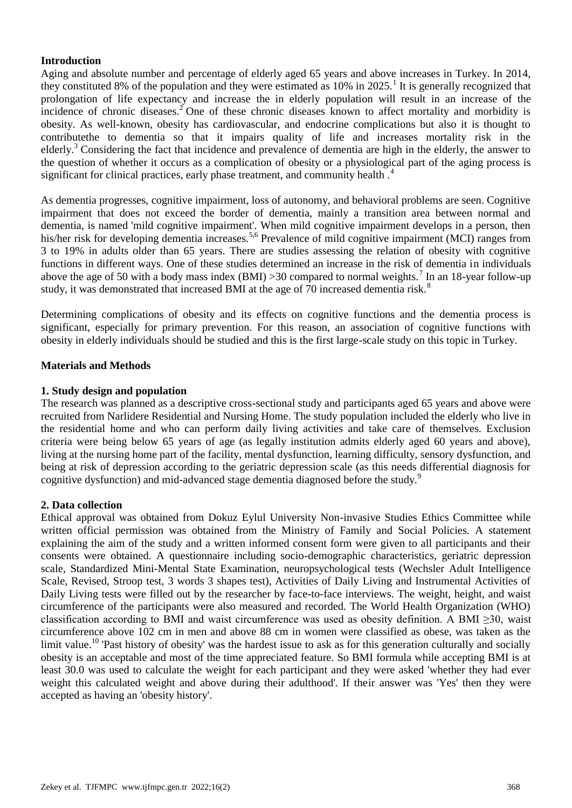# **Introduction**

Aging and absolute number and percentage of elderly aged 65 years and above increases in Turkey. In 2014, they constituted 8% of the population and they were estimated as  $10\%$  in 2025.<sup>1</sup> It is generally recognized that prolongation of life expectancy and increase the in elderly population will result in an increase of the incidence of chronic diseases.<sup>2</sup> One of these chronic diseases known to affect mortality and morbidity is obesity. As well-known, obesity has cardiovascular, and endocrine complications but also it is thought to contributethe to dementia so that it impairs quality of life and increases mortality risk in the elderly.<sup>3</sup> Considering the fact that incidence and prevalence of dementia are high in the elderly, the answer to the question of whether it occurs as a complication of obesity or a physiological part of the aging process is significant for clinical practices, early phase treatment, and community health.<sup>4</sup>

As dementia progresses, cognitive impairment, loss of autonomy, and behavioral problems are seen. Cognitive impairment that does not exceed the border of dementia, mainly a transition area between normal and dementia, is named 'mild cognitive impairment'. When mild cognitive impairment develops in a person, then his/her risk for developing dementia increases.<sup>5,6</sup> Prevalence of mild cognitive impairment (MCI) ranges from 3 to 19% in adults older than 65 years. There are studies assessing the relation of obesity with cognitive functions in different ways. One of these studies determined an increase in the risk of dementia in individuals above the age of 50 with a body mass index (BMI) > 30 compared to normal weights.<sup>7</sup> In an 18-year follow-up study, it was demonstrated that increased BMI at the age of 70 increased dementia risk.<sup>8</sup>

Determining complications of obesity and its effects on cognitive functions and the dementia process is significant, especially for primary prevention. For this reason, an association of cognitive functions with obesity in elderly individuals should be studied and this is the first large-scale study on this topic in Turkey.

# **Materials and Methods**

# **1. Study design and population**

The research was planned as a descriptive cross-sectional study and participants aged 65 years and above were recruited from Narlidere Residential and Nursing Home. The study population included the elderly who live in the residential home and who can perform daily living activities and take care of themselves. Exclusion criteria were being below 65 years of age (as legally institution admits elderly aged 60 years and above), living at the nursing home part of the facility, mental dysfunction, learning difficulty, sensory dysfunction, and being at risk of depression according to the geriatric depression scale (as this needs differential diagnosis for cognitive dysfunction) and mid-advanced stage dementia diagnosed before the study.<sup>9</sup>

# **2. Data collection**

Ethical approval was obtained from Dokuz Eylul University Non-invasive Studies Ethics Committee while written official permission was obtained from the Ministry of Family and Social Policies. A statement explaining the aim of the study and a written informed consent form were given to all participants and their consents were obtained. A questionnaire including socio-demographic characteristics, geriatric depression scale, Standardized Mini-Mental State Examination, neuropsychological tests (Wechsler Adult Intelligence Scale, Revised, Stroop test, 3 words 3 shapes test), Activities of Daily Living and Instrumental Activities of Daily Living tests were filled out by the researcher by face-to-face interviews. The weight, height, and waist circumference of the participants were also measured and recorded. The World Health Organization (WHO) classification according to BMI and waist circumference was used as obesity definition. A BMI ≥30, waist circumference above 102 cm in men and above 88 cm in women were classified as obese, was taken as the limit value.<sup>10</sup> 'Past history of obesity' was the hardest issue to ask as for this generation culturally and socially obesity is an acceptable and most of the time appreciated feature. So BMI formula while accepting BMI is at least 30.0 was used to calculate the weight for each participant and they were asked 'whether they had ever weight this calculated weight and above during their adulthood'. If their answer was 'Yes' then they were accepted as having an 'obesity history'.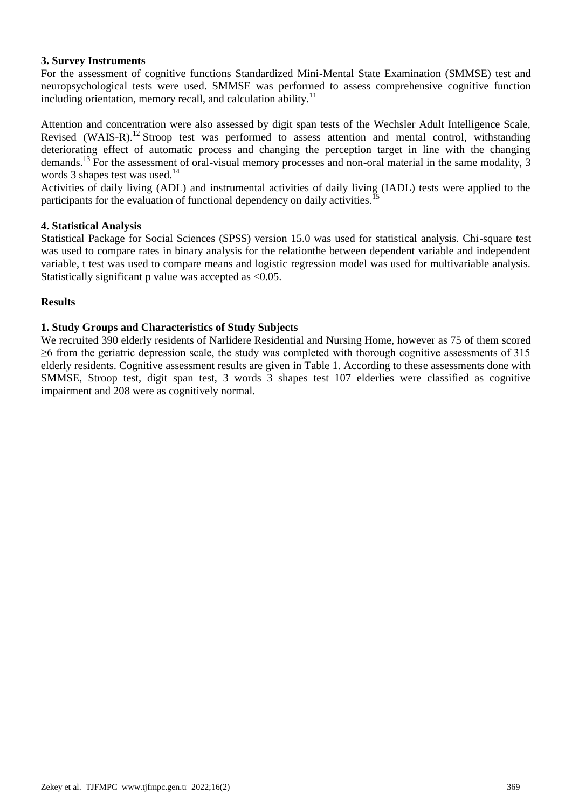# **3. Survey Instruments**

For the assessment of cognitive functions Standardized Mini-Mental State Examination (SMMSE) test and neuropsychological tests were used. SMMSE was performed to assess comprehensive cognitive function including orientation, memory recall, and calculation ability. $11$ 

Attention and concentration were also assessed by digit span tests of the Wechsler Adult Intelligence Scale, Revised (WAIS-R).<sup>12</sup> Stroop test was performed to assess attention and mental control, withstanding deteriorating effect of automatic process and changing the perception target in line with the changing demands.<sup>13</sup> For the assessment of oral-visual memory processes and non-oral material in the same modality, 3 words 3 shapes test was used.<sup>14</sup>

Activities of daily living (ADL) and instrumental activities of daily living (IADL) tests were applied to the participants for the evaluation of functional dependency on daily activities.

#### **4. Statistical Analysis**

Statistical Package for Social Sciences (SPSS) version 15.0 was used for statistical analysis. Chi-square test was used to compare rates in binary analysis for the relationthe between dependent variable and independent variable, t test was used to compare means and logistic regression model was used for multivariable analysis. Statistically significant p value was accepted as <0.05.

## **Results**

## **1. Study Groups and Characteristics of Study Subjects**

We recruited 390 elderly residents of Narlidere Residential and Nursing Home, however as 75 of them scored ≥6 from the geriatric depression scale, the study was completed with thorough cognitive assessments of 315 elderly residents. Cognitive assessment results are given in Table 1. According to these assessments done with SMMSE, Stroop test, digit span test, 3 words 3 shapes test 107 elderlies were classified as cognitive impairment and 208 were as cognitively normal.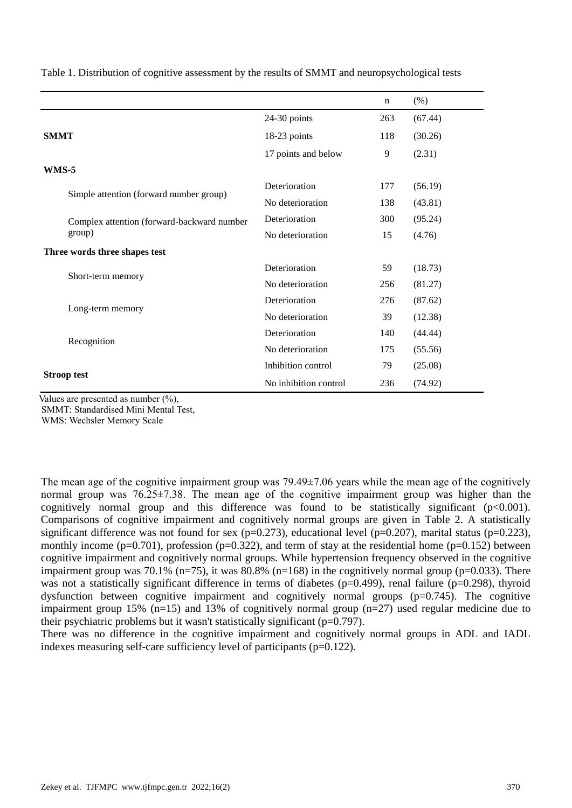|                                                      |                       | n   | (% )    |
|------------------------------------------------------|-----------------------|-----|---------|
|                                                      | 24-30 points          | 263 | (67.44) |
| <b>SMMT</b>                                          | 18-23 points          | 118 | (30.26) |
|                                                      | 17 points and below   | 9   | (2.31)  |
| WMS-5                                                |                       |     |         |
| Simple attention (forward number group)              | Deterioration         | 177 | (56.19) |
|                                                      | No deterioration      | 138 | (43.81) |
| Complex attention (forward-backward number<br>group) | Deterioration         | 300 | (95.24) |
|                                                      | No deterioration      | 15  | (4.76)  |
| Three words three shapes test                        |                       |     |         |
|                                                      | Deterioration         | 59  | (18.73) |
| Short-term memory                                    | No deterioration      | 256 | (81.27) |
| Long-term memory                                     | Deterioration         | 276 | (87.62) |
|                                                      | No deterioration      | 39  | (12.38) |
| Recognition                                          | Deterioration         | 140 | (44.44) |
|                                                      | No deterioration      | 175 | (55.56) |
|                                                      | Inhibition control    | 79  | (25.08) |
| <b>Stroop test</b>                                   | No inhibition control | 236 | (74.92) |

Table 1. Distribution of cognitive assessment by the results of SMMT and neuropsychological tests

Values are presented as number  $(\%),$ 

SMMT: Standardised Mini Mental Test,

WMS: Wechsler Memory Scale

The mean age of the cognitive impairment group was  $79.49\pm7.06$  years while the mean age of the cognitively normal group was 76.25±7.38. The mean age of the cognitive impairment group was higher than the cognitively normal group and this difference was found to be statistically significant  $(p<0.001)$ . Comparisons of cognitive impairment and cognitively normal groups are given in Table 2. A statistically significant difference was not found for sex ( $p=0.273$ ), educational level ( $p=0.207$ ), marital status ( $p=0.223$ ), monthly income ( $p=0.701$ ), profession ( $p=0.322$ ), and term of stay at the residential home ( $p=0.152$ ) between cognitive impairment and cognitively normal groups. While hypertension frequency observed in the cognitive impairment group was 70.1% (n=75), it was 80.8% (n=168) in the cognitively normal group (p=0.033). There was not a statistically significant difference in terms of diabetes ( $p=0.499$ ), renal failure ( $p=0.298$ ), thyroid dysfunction between cognitive impairment and cognitively normal groups  $(p=0.745)$ . The cognitive impairment group 15%  $(n=15)$  and 13% of cognitively normal group  $(n=27)$  used regular medicine due to their psychiatric problems but it wasn't statistically significant ( $p=0.797$ ).

There was no difference in the cognitive impairment and cognitively normal groups in ADL and IADL indexes measuring self-care sufficiency level of participants ( $p=0.122$ ).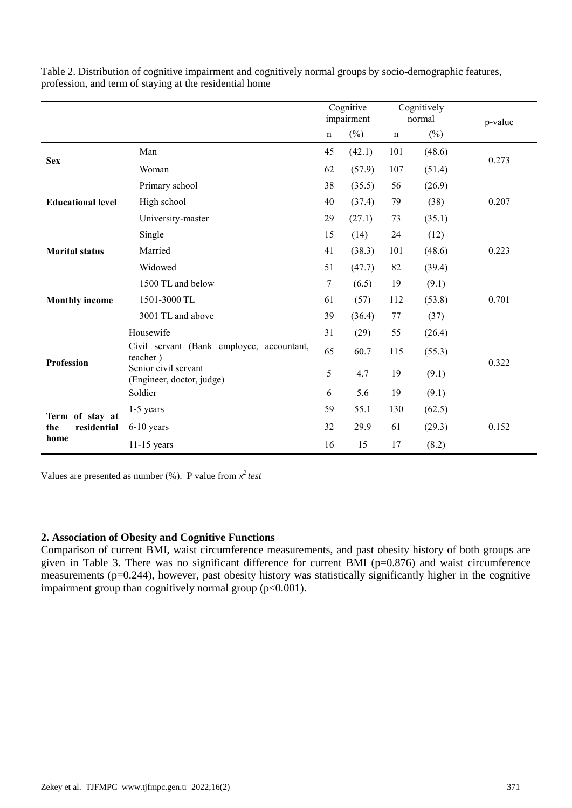|                                               |                                                       |             | Cognitive<br>impairment |             | Cognitively<br>normal | p-value |  |
|-----------------------------------------------|-------------------------------------------------------|-------------|-------------------------|-------------|-----------------------|---------|--|
|                                               |                                                       | $\mathbf n$ | $(\%)$                  | $\mathbf n$ | $(\%)$                |         |  |
| <b>Sex</b>                                    | Man                                                   | 45          | (42.1)                  | 101         | (48.6)                | 0.273   |  |
|                                               | Woman                                                 | 62          | (57.9)                  | 107         | (51.4)                |         |  |
|                                               | Primary school                                        | 38          | (35.5)                  | 56          | (26.9)                |         |  |
| <b>Educational level</b>                      | High school                                           | 40          | (37.4)                  | 79          | (38)                  | 0.207   |  |
|                                               | University-master                                     | 29          | (27.1)                  | 73          | (35.1)                |         |  |
|                                               | Single                                                | 15          | (14)                    | 24          | (12)                  |         |  |
| <b>Marital status</b>                         | Married                                               | 41          | (38.3)                  | 101         | (48.6)                | 0.223   |  |
|                                               | Widowed                                               | 51          | (47.7)                  | 82          | (39.4)                |         |  |
|                                               | 1500 TL and below                                     | 7           | (6.5)                   | 19          | (9.1)                 |         |  |
| <b>Monthly income</b>                         | 1501-3000 TL                                          | 61          | (57)                    | 112         | (53.8)                | 0.701   |  |
|                                               | 3001 TL and above                                     | 39          | (36.4)                  | 77          | (37)                  |         |  |
|                                               | Housewife                                             | 31          | (29)                    | 55          | (26.4)                |         |  |
| <b>Profession</b>                             | Civil servant (Bank employee, accountant,<br>teacher) | 65          | 60.7                    | 115         | (55.3)                |         |  |
|                                               | Senior civil servant<br>(Engineer, doctor, judge)     | 5           | 4.7                     | 19          | (9.1)                 | 0.322   |  |
|                                               | Soldier                                               | 6           | 5.6                     | 19          | (9.1)                 |         |  |
| Term of stay at<br>residential<br>the<br>home | $1-5$ years                                           | 59          | 55.1                    | 130         | (62.5)                |         |  |
|                                               | $6-10$ years                                          | 32          | 29.9                    | 61          | (29.3)                | 0.152   |  |
|                                               | $11-15$ years                                         | 16          | 15                      | 17          | (8.2)                 |         |  |

Table 2. Distribution of cognitive impairment and cognitively normal groups by socio-demographic features, profession, and term of staying at the residential home

Values are presented as number  $(\%)$ . P value from  $x^2$  *test* 

## **2. Association of Obesity and Cognitive Functions**

Comparison of current BMI, waist circumference measurements, and past obesity history of both groups are given in Table 3. There was no significant difference for current BMI ( $p=0.876$ ) and waist circumference measurements ( $p=0.244$ ), however, past obesity history was statistically significantly higher in the cognitive impairment group than cognitively normal group  $(p<0.001)$ .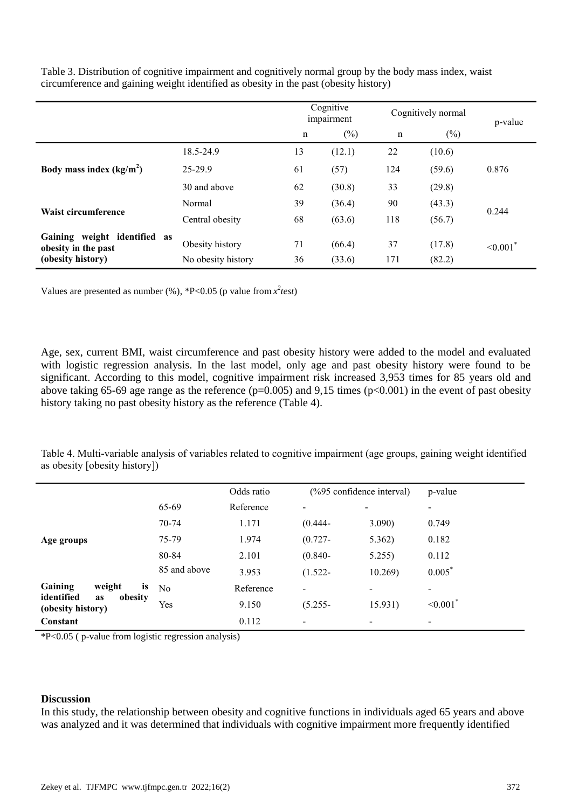|                                                     |                    |    | Cognitive<br>impairment |             | Cognitively normal |                           |  |
|-----------------------------------------------------|--------------------|----|-------------------------|-------------|--------------------|---------------------------|--|
|                                                     |                    | n  | $(\%)$                  | $\mathbf n$ | $(\%)$             | p-value                   |  |
| Body mass index $(kg/m2)$                           | 18.5-24.9          | 13 | (12.1)                  | 22          | (10.6)             |                           |  |
|                                                     | 25-29.9            | 61 | (57)                    | 124         | (59.6)             | 0.876                     |  |
|                                                     | 30 and above       | 62 | (30.8)                  | 33          | (29.8)             |                           |  |
| Waist circumference                                 | Normal             | 39 | (36.4)                  | 90          | (43.3)             | 0.244                     |  |
|                                                     | Central obesity    | 68 | (63.6)                  | 118         | (56.7)             |                           |  |
| Gaining weight identified as<br>obesity in the past | Obesity history    | 71 | (66.4)                  | 37          | (17.8)             | $\leq 0.001$ <sup>*</sup> |  |
| (obesity history)                                   | No obesity history | 36 | (33.6)                  | 171         | (82.2)             |                           |  |

Table 3. Distribution of cognitive impairment and cognitively normal group by the body mass index, waist circumference and gaining weight identified as obesity in the past (obesity history)

Values are presented as number  $(\%)$ , \*P<0.05 (p value from  $x^2$ *test*)

Age, sex, current BMI, waist circumference and past obesity history were added to the model and evaluated with logistic regression analysis. In the last model, only age and past obesity history were found to be significant. According to this model, cognitive impairment risk increased 3,953 times for 85 years old and above taking 65-69 age range as the reference ( $p=0.005$ ) and 9,15 times ( $p<0.001$ ) in the event of past obesity history taking no past obesity history as the reference (Table 4).

Table 4. Multi-variable analysis of variables related to cognitive impairment (age groups, gaining weight identified as obesity [obesity history])

|                                                         |                | Odds ratio | (%95 confidence interval) |                          | p-value                |
|---------------------------------------------------------|----------------|------------|---------------------------|--------------------------|------------------------|
|                                                         | 65-69          | Reference  |                           | ۰                        | ۰                      |
|                                                         | 70-74          | 1.171      | $(0.444 -$                | 3.090)                   | 0.749                  |
| Age groups                                              | 75-79          | 1.974      | $(0.727 -$                | 5.362)                   | 0.182                  |
|                                                         | 80-84          | 2.101      | $(0.840 -$                | 5.255                    | 0.112                  |
|                                                         | 85 and above   | 3.953      | $(1.522 -$                | 10.269                   | $0.005^*$              |
| Gaining<br>weight<br>is                                 | N <sub>0</sub> | Reference  | $\overline{\phantom{a}}$  |                          |                        |
| identified<br>obesity<br><b>as</b><br>(obesity history) | Yes            | 9.150      | $(5.255 -$                | 15.931)                  | $< 0.001$ <sup>*</sup> |
| Constant                                                |                | 0.112      | $\overline{\phantom{0}}$  | $\overline{\phantom{0}}$ | -                      |

 $*P<0.05$  ( p-value from logistic regression analysis)

# **Discussion**

In this study, the relationship between obesity and cognitive functions in individuals aged 65 years and above was analyzed and it was determined that individuals with cognitive impairment more frequently identified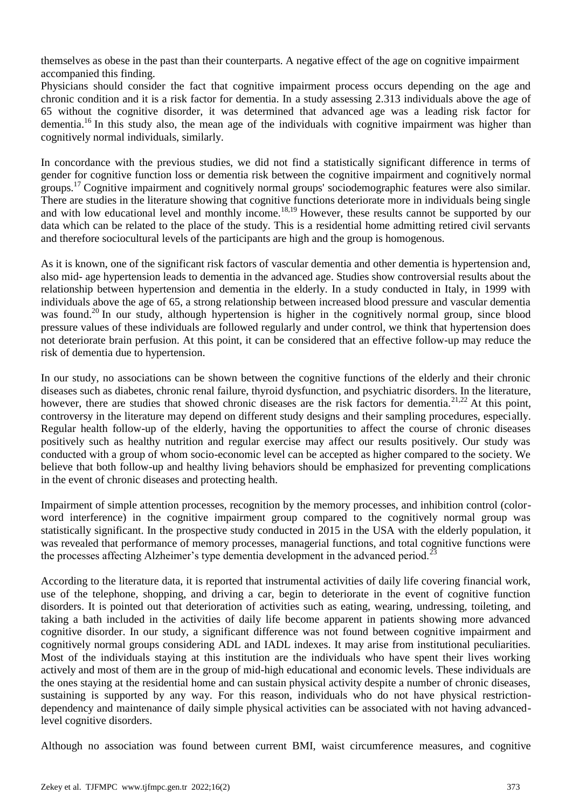themselves as obese in the past than their counterparts. A negative effect of the age on cognitive impairment accompanied this finding.

Physicians should consider the fact that cognitive impairment process occurs depending on the age and chronic condition and it is a risk factor for dementia. In a study assessing 2.313 individuals above the age of 65 without the cognitive disorder, it was determined that advanced age was a leading risk factor for dementia.<sup>16</sup> In this study also, the mean age of the individuals with cognitive impairment was higher than cognitively normal individuals, similarly.

In concordance with the previous studies, we did not find a statistically significant difference in terms of gender for cognitive function loss or dementia risk between the cognitive impairment and cognitively normal groups.<sup>17</sup> Cognitive impairment and cognitively normal groups' sociodemographic features were also similar. There are studies in the literature showing that cognitive functions deteriorate more in individuals being single and with low educational level and monthly income.<sup>18,19</sup> However, these results cannot be supported by our data which can be related to the place of the study. This is a residential home admitting retired civil servants and therefore sociocultural levels of the participants are high and the group is homogenous.

As it is known, one of the significant risk factors of vascular dementia and other dementia is hypertension and, also mid- age hypertension leads to dementia in the advanced age. Studies show controversial results about the relationship between hypertension and dementia in the elderly. In a study conducted in Italy, in 1999 with individuals above the age of 65, a strong relationship between increased blood pressure and vascular dementia was found.<sup>20</sup> In our study, although hypertension is higher in the cognitively normal group, since blood pressure values of these individuals are followed regularly and under control, we think that hypertension does not deteriorate brain perfusion. At this point, it can be considered that an effective follow-up may reduce the risk of dementia due to hypertension.

In our study, no associations can be shown between the cognitive functions of the elderly and their chronic diseases such as diabetes, chronic renal failure, thyroid dysfunction, and psychiatric disorders. In the literature, however, there are studies that showed chronic diseases are the risk factors for dementia.<sup>21,22</sup> At this point, controversy in the literature may depend on different study designs and their sampling procedures, especially. Regular health follow-up of the elderly, having the opportunities to affect the course of chronic diseases positively such as healthy nutrition and regular exercise may affect our results positively. Our study was conducted with a group of whom socio-economic level can be accepted as higher compared to the society. We believe that both follow-up and healthy living behaviors should be emphasized for preventing complications in the event of chronic diseases and protecting health.

Impairment of simple attention processes, recognition by the memory processes, and inhibition control (colorword interference) in the cognitive impairment group compared to the cognitively normal group was statistically significant. In the prospective study conducted in 2015 in the USA with the elderly population, it was revealed that performance of memory processes, managerial functions, and total cognitive functions were the processes affecting Alzheimer's type dementia development in the advanced period.<sup>23</sup>

According to the literature data, it is reported that instrumental activities of daily life covering financial work, use of the telephone, shopping, and driving a car, begin to deteriorate in the event of cognitive function disorders. It is pointed out that deterioration of activities such as eating, wearing, undressing, toileting, and taking a bath included in the activities of daily life become apparent in patients showing more advanced cognitive disorder. In our study, a significant difference was not found between cognitive impairment and cognitively normal groups considering ADL and IADL indexes. It may arise from institutional peculiarities. Most of the individuals staying at this institution are the individuals who have spent their lives working actively and most of them are in the group of mid-high educational and economic levels. These individuals are the ones staying at the residential home and can sustain physical activity despite a number of chronic diseases, sustaining is supported by any way. For this reason, individuals who do not have physical restrictiondependency and maintenance of daily simple physical activities can be associated with not having advancedlevel cognitive disorders.

Although no association was found between current BMI, waist circumference measures, and cognitive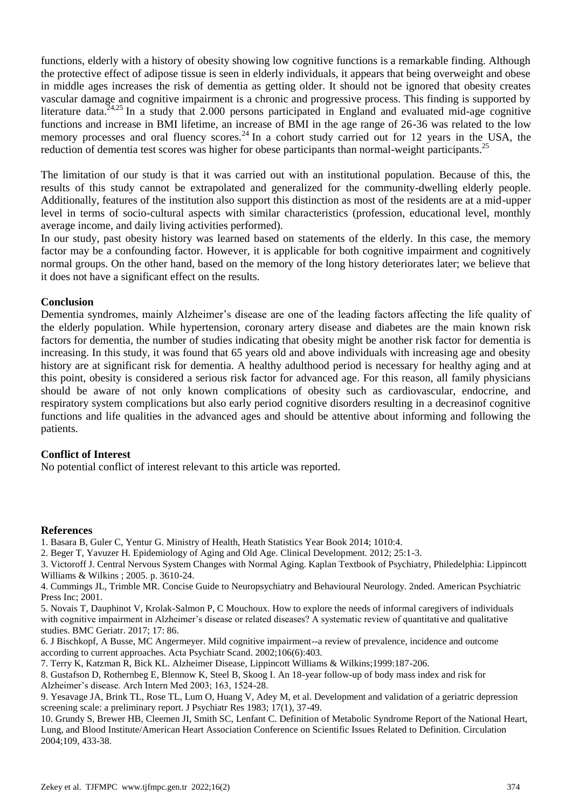functions, elderly with a history of obesity showing low cognitive functions is a remarkable finding. Although the protective effect of adipose tissue is seen in elderly individuals, it appears that being overweight and obese in middle ages increases the risk of dementia as getting older. It should not be ignored that obesity creates vascular damage and cognitive impairment is a chronic and progressive process. This finding is supported by literature data. $24.25$  In a study that 2.000 persons participated in England and evaluated mid-age cognitive functions and increase in BMI lifetime, an increase of BMI in the age range of 26-36 was related to the low memory processes and oral fluency scores.<sup>24</sup> In a cohort study carried out for 12 years in the USA, the reduction of dementia test scores was higher for obese participants than normal-weight participants.<sup>25</sup>

The limitation of our study is that it was carried out with an institutional population. Because of this, the results of this study cannot be extrapolated and generalized for the community-dwelling elderly people. Additionally, features of the institution also support this distinction as most of the residents are at a mid-upper level in terms of socio-cultural aspects with similar characteristics (profession, educational level, monthly average income, and daily living activities performed).

In our study, past obesity history was learned based on statements of the elderly. In this case, the memory factor may be a confounding factor. However, it is applicable for both cognitive impairment and cognitively normal groups. On the other hand, based on the memory of the long history deteriorates later; we believe that it does not have a significant effect on the results.

#### **Conclusion**

Dementia syndromes, mainly Alzheimer's disease are one of the leading factors affecting the life quality of the elderly population. While hypertension, coronary artery disease and diabetes are the main known risk factors for dementia, the number of studies indicating that obesity might be another risk factor for dementia is increasing. In this study, it was found that 65 years old and above individuals with increasing age and obesity history are at significant risk for dementia. A healthy adulthood period is necessary for healthy aging and at this point, obesity is considered a serious risk factor for advanced age. For this reason, all family physicians should be aware of not only known complications of obesity such as cardiovascular, endocrine, and respiratory system complications but also early period cognitive disorders resulting in a decreasinof cognitive functions and life qualities in the advanced ages and should be attentive about informing and following the patients.

#### **Conflict of Interest**

No potential conflict of interest relevant to this article was reported.

#### **References**

- 1. Basara B, Guler C, Yentur G. Ministry of Health, Heath Statistics Year Book 2014; 1010:4.
- 2. Beger T, Yavuzer H. Epidemiology of Aging and Old Age. Clinical Development. 2012; 25:1-3.
- 3. Victoroff J. Central Nervous System Changes with Normal Aging. Kaplan Textbook of Psychiatry, Philedelphia: Lippincott Williams & Wilkins ; 2005. p. 3610-24.

4. Cummings JL, Trimble MR. Concise Guide to Neuropsychiatry and Behavioural Neurology. 2nded. American Psychiatric Press Inc; 2001.

5. Novais T, Dauphinot V, Krolak-Salmon P, C Mouchoux. How to explore the needs of informal caregivers of individuals with cognitive impairment in Alzheimer's disease or related diseases? A systematic review of quantitative and qualitative studies. BMC Geriatr. 2017; 17: 86.

6. J Bischkopf, A Busse, MC Angermeyer. Mild cognitive impairment--a review of prevalence, incidence and outcome according to current approaches. Acta Psychiatr Scand. 2002;106(6):403.

7. Terry K, Katzman R, Bick KL. Alzheimer Disease, Lippincott Williams & Wilkins;1999:187-206.

8. Gustafson D, Rothernbeg E, Blennow K, Steel B, Skoog I. An 18-year follow-up of body mass index and risk for Alzheimer's disease. Arch Intern Med 2003; 163, 1524-28.

9. Yesavage JA, Brink TL, Rose TL, Lum O, Huang V, Adey M, et al. Development and validation of a geriatric depression screening scale: a preliminary report. J Psychiatr Res 1983; 17(1), 37-49.

10. Grundy S, Brewer HB, Cleemen JI, Smith SC, Lenfant C. Definition of Metabolic Syndrome Report of the National Heart, Lung, and Blood Institute/American Heart Association Conference on Scientific Issues Related to Definition. Circulation 2004;109, 433-38.